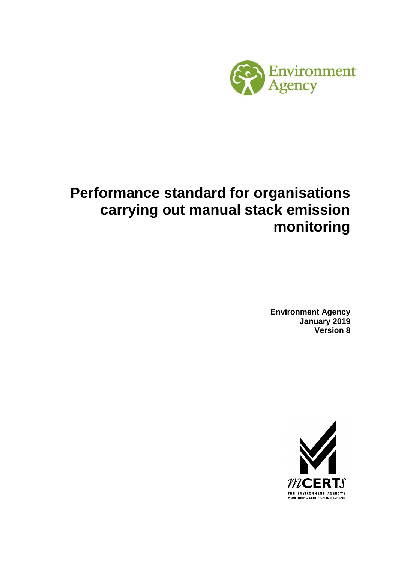

# **Performance standard for organisations carrying out manual stack emission monitoring**

**Environment Agency January 2019 Version 8** 

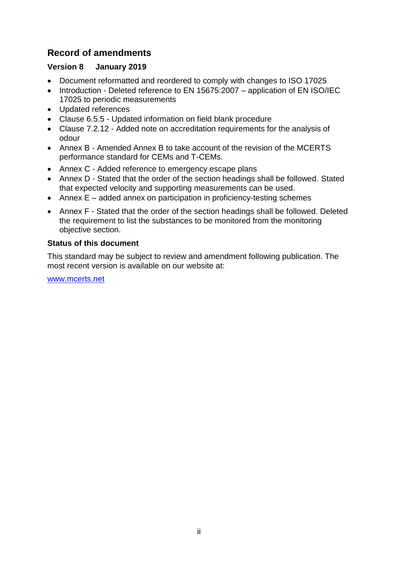# **Record of amendments**

# **Version 8 January 2019**

- Document reformatted and reordered to comply with changes to ISO 17025
- Introduction Deleted reference to EN 15675:2007 application of EN ISO/IEC 17025 to periodic measurements
- Updated references
- Clause 6.5.5 Updated information on field blank procedure
- Clause 7.2.12 Added note on accreditation requirements for the analysis of odour
- Annex B Amended Annex B to take account of the revision of the MCERTS performance standard for CEMs and T-CEMs.
- Annex C Added reference to emergency escape plans
- Annex D Stated that the order of the section headings shall be followed. Stated that expected velocity and supporting measurements can be used.
- Annex E added annex on participation in proficiency-testing schemes
- Annex F Stated that the order of the section headings shall be followed. Deleted the requirement to list the substances to be monitored from the monitoring objective section.

# **Status of this document**

This standard may be subject to review and amendment following publication. The most recent version is available on our website at:

[www.mcerts.net](http://www.mcerts.net/)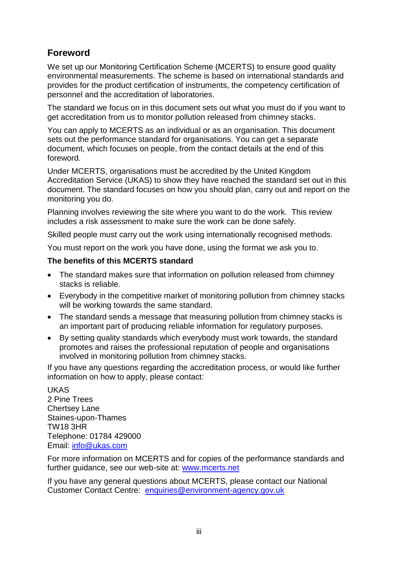# **Foreword**

We set up our Monitoring Certification Scheme (MCERTS) to ensure good quality environmental measurements. The scheme is based on international standards and provides for the product certification of instruments, the competency certification of personnel and the accreditation of laboratories.

The standard we focus on in this document sets out what you must do if you want to get accreditation from us to monitor pollution released from chimney stacks.

You can apply to MCERTS as an individual or as an organisation. This document sets out the performance standard for organisations. You can get a separate document, which focuses on people, from the contact details at the end of this foreword.

Under MCERTS, organisations must be accredited by the United Kingdom Accreditation Service (UKAS) to show they have reached the standard set out in this document. The standard focuses on how you should plan, carry out and report on the monitoring you do.

Planning involves reviewing the site where you want to do the work. This review includes a risk assessment to make sure the work can be done safely.

Skilled people must carry out the work using internationally recognised methods.

You must report on the work you have done, using the format we ask you to.

# **The benefits of this MCERTS standard**

- The standard makes sure that information on pollution released from chimney stacks is reliable.
- Everybody in the competitive market of monitoring pollution from chimney stacks will be working towards the same standard.
- The standard sends a message that measuring pollution from chimney stacks is an important part of producing reliable information for regulatory purposes.
- By setting quality standards which everybody must work towards, the standard promotes and raises the professional reputation of people and organisations involved in monitoring pollution from chimney stacks.

If you have any questions regarding the accreditation process, or would like further information on how to apply, please contact:

UKAS 2 Pine Trees Chertsey Lane Staines-upon-Thames TW18 3HR Telephone: 01784 429000 Email: [info@ukas.com](mailto:info@ukas.com)

For more information on MCERTS and for copies of the performance standards and further guidance, see our web-site at: [www.mcerts.net](http://www.mcerts.net/) 

If you have any general questions about MCERTS, please contact our National Customer Contact Centre: [enquiries@environment-agency.gov.uk](mailto:enquiries@environment-agency.gov.uk)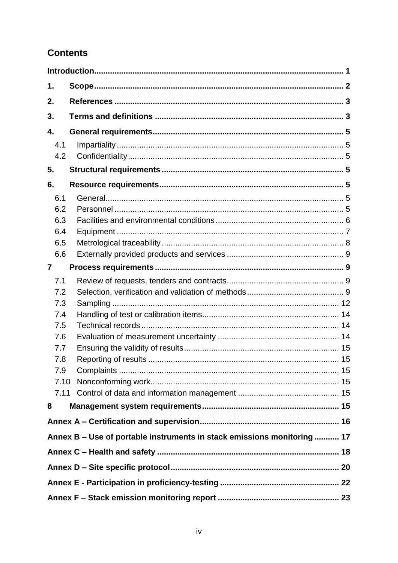# **Contents**

| 1.                                                                      |  |
|-------------------------------------------------------------------------|--|
| 2.                                                                      |  |
| 3.                                                                      |  |
| 4.                                                                      |  |
| 4.1                                                                     |  |
| 4.2                                                                     |  |
| 5.                                                                      |  |
| 6.                                                                      |  |
| 6.1                                                                     |  |
| 6.2                                                                     |  |
| 6.3                                                                     |  |
| 6.4                                                                     |  |
| 6.5                                                                     |  |
| 6.6                                                                     |  |
| $\overline{7}$                                                          |  |
| 7.1                                                                     |  |
| 7.2                                                                     |  |
| 7.3                                                                     |  |
| 7.4                                                                     |  |
| 7.5                                                                     |  |
| 7.6                                                                     |  |
| 7.7                                                                     |  |
| 7.8                                                                     |  |
| 7.9                                                                     |  |
| 7.10                                                                    |  |
|                                                                         |  |
| 8                                                                       |  |
|                                                                         |  |
| Annex B - Use of portable instruments in stack emissions monitoring  17 |  |
|                                                                         |  |
|                                                                         |  |
|                                                                         |  |
|                                                                         |  |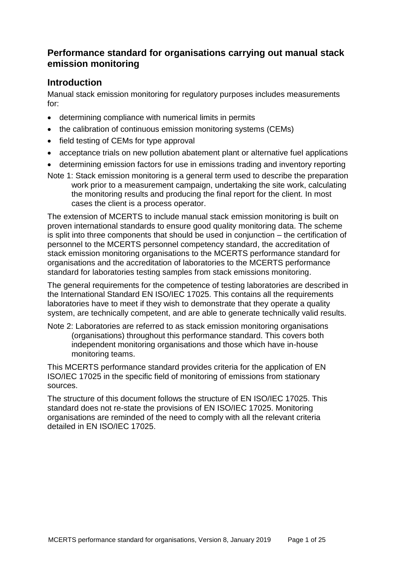# **Performance standard for organisations carrying out manual stack emission monitoring**

# <span id="page-4-0"></span>**Introduction**

Manual stack emission monitoring for regulatory purposes includes measurements for:

- determining compliance with numerical limits in permits
- the calibration of continuous emission monitoring systems (CEMs)
- field testing of CEMs for type approval
- acceptance trials on new pollution abatement plant or alternative fuel applications
- determining emission factors for use in emissions trading and inventory reporting
- Note 1: Stack emission monitoring is a general term used to describe the preparation work prior to a measurement campaign, undertaking the site work, calculating the monitoring results and producing the final report for the client. In most cases the client is a process operator.

The extension of MCERTS to include manual stack emission monitoring is built on proven international standards to ensure good quality monitoring data. The scheme is split into three components that should be used in conjunction – the certification of personnel to the MCERTS personnel competency standard, the accreditation of stack emission monitoring organisations to the MCERTS performance standard for organisations and the accreditation of laboratories to the MCERTS performance standard for laboratories testing samples from stack emissions monitoring.

The general requirements for the competence of testing laboratories are described in the International Standard EN ISO/IEC 17025. This contains all the requirements laboratories have to meet if they wish to demonstrate that they operate a quality system, are technically competent, and are able to generate technically valid results.

Note 2: Laboratories are referred to as stack emission monitoring organisations (organisations) throughout this performance standard. This covers both independent monitoring organisations and those which have in-house monitoring teams.

This MCERTS performance standard provides criteria for the application of EN ISO/IEC 17025 in the specific field of monitoring of emissions from stationary sources.

The structure of this document follows the structure of EN ISO/IEC 17025. This standard does not re-state the provisions of EN ISO/IEC 17025. Monitoring organisations are reminded of the need to comply with all the relevant criteria detailed in EN ISO/IEC 17025.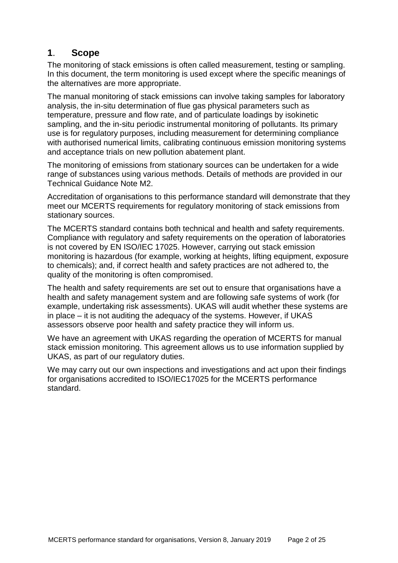# <span id="page-5-0"></span>**1**. **Scope**

The monitoring of stack emissions is often called measurement, testing or sampling. In this document, the term monitoring is used except where the specific meanings of the alternatives are more appropriate.

The manual monitoring of stack emissions can involve taking samples for laboratory analysis, the in-situ determination of flue gas physical parameters such as temperature, pressure and flow rate, and of particulate loadings by isokinetic sampling, and the in-situ periodic instrumental monitoring of pollutants. Its primary use is for regulatory purposes, including measurement for determining compliance with authorised numerical limits, calibrating continuous emission monitoring systems and acceptance trials on new pollution abatement plant.

The monitoring of emissions from stationary sources can be undertaken for a wide range of substances using various methods. Details of methods are provided in our Technical Guidance Note M2.

Accreditation of organisations to this performance standard will demonstrate that they meet our MCERTS requirements for regulatory monitoring of stack emissions from stationary sources.

The MCERTS standard contains both technical and health and safety requirements. Compliance with regulatory and safety requirements on the operation of laboratories is not covered by EN ISO/IEC 17025. However, carrying out stack emission monitoring is hazardous (for example, working at heights, lifting equipment, exposure to chemicals); and, if correct health and safety practices are not adhered to, the quality of the monitoring is often compromised.

The health and safety requirements are set out to ensure that organisations have a health and safety management system and are following safe systems of work (for example, undertaking risk assessments). UKAS will audit whether these systems are in place – it is not auditing the adequacy of the systems. However, if UKAS assessors observe poor health and safety practice they will inform us.

We have an agreement with UKAS regarding the operation of MCERTS for manual stack emission monitoring. This agreement allows us to use information supplied by UKAS, as part of our regulatory duties.

We may carry out our own inspections and investigations and act upon their findings for organisations accredited to ISO/IEC17025 for the MCERTS performance standard.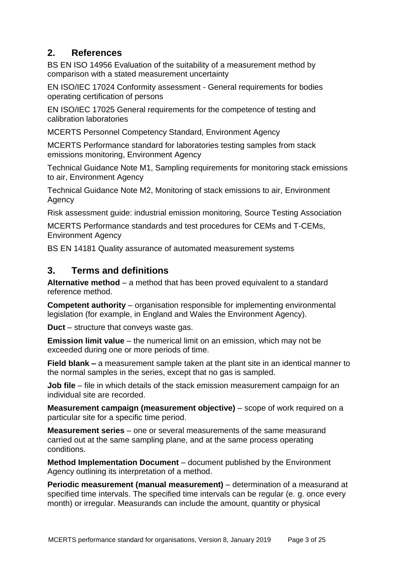# <span id="page-6-0"></span>**2. References**

BS EN ISO 14956 Evaluation of the suitability of a measurement method by comparison with a stated measurement uncertainty

EN ISO/IEC 17024 Conformity assessment - General requirements for bodies operating certification of persons

EN ISO/IEC 17025 General requirements for the competence of testing and calibration laboratories

MCERTS Personnel Competency Standard, Environment Agency

MCERTS Performance standard for laboratories testing samples from stack emissions monitoring, Environment Agency

Technical Guidance Note M1, Sampling requirements for monitoring stack emissions to air, Environment Agency

Technical Guidance Note M2, Monitoring of stack emissions to air, Environment Agency

Risk assessment guide: industrial emission monitoring, Source Testing Association

MCERTS Performance standards and test procedures for CEMs and T-CEMs, Environment Agency

BS EN 14181 Quality assurance of automated measurement systems

# <span id="page-6-1"></span>**3. Terms and definitions**

**Alternative method** – a method that has been proved equivalent to a standard reference method.

**Competent authority** – organisation responsible for implementing environmental legislation (for example, in England and Wales the Environment Agency).

**Duct** *–* structure that conveys waste gas.

**Emission limit value** – the numerical limit on an emission, which may not be exceeded during one or more periods of time.

**Field blank –** a measurement sample taken at the plant site in an identical manner to the normal samples in the series, except that no gas is sampled.

**Job file** *–* file in which details of the stack emission measurement campaign for an individual site are recorded.

**Measurement campaign (measurement objective)** *–* scope of work required on a particular site for a specific time period.

**Measurement series** *–* one or several measurements of the same measurand carried out at the same sampling plane, and at the same process operating conditions.

**Method Implementation Document** – document published by the Environment Agency outlining its interpretation of a method.

**Periodic measurement (manual measurement)** *–* determination of a measurand at specified time intervals. The specified time intervals can be regular (e. g. once every month) or irregular. Measurands can include the amount, quantity or physical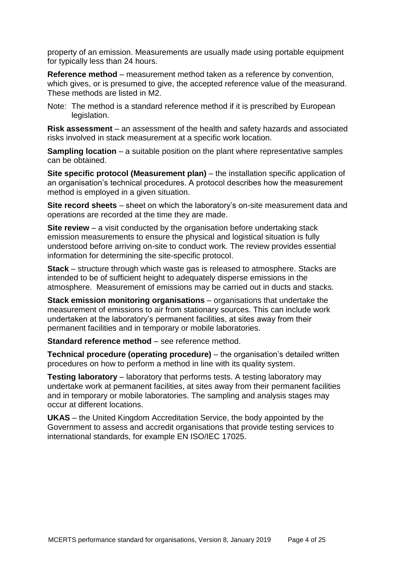property of an emission. Measurements are usually made using portable equipment for typically less than 24 hours.

**Reference method** *–* measurement method taken as a reference by convention, which gives, or is presumed to give, the accepted reference value of the measurand. These methods are listed in M2.

Note: The method is a standard reference method if it is prescribed by European legislation.

**Risk assessment** *–* an assessment of the health and safety hazards and associated risks involved in stack measurement at a specific work location.

**Sampling location** – a suitable position on the plant where representative samples can be obtained.

**Site specific protocol (Measurement plan)** *–* the installation specific application of an organisation's technical procedures. A protocol describes how the measurement method is employed in a given situation.

**Site record sheets** *–* sheet on which the laboratory's on-site measurement data and operations are recorded at the time they are made.

**Site review** – a visit conducted by the organisation before undertaking stack emission measurements to ensure the physical and logistical situation is fully understood before arriving on-site to conduct work. The review provides essential information for determining the site-specific protocol.

**Stack** *–* structure through which waste gas is released to atmosphere. Stacks are intended to be of sufficient height to adequately disperse emissions in the atmosphere. Measurement of emissions may be carried out in ducts and stacks.

**Stack emission monitoring organisations** *–* organisations that undertake the measurement of emissions to air from stationary sources. This can include work undertaken at the laboratory's permanent facilities, at sites away from their permanent facilities and in temporary or mobile laboratories.

**Standard reference method** – see reference method.

**Technical procedure (operating procedure)** *–* the organisation's detailed written procedures on how to perform a method in line with its quality system.

**Testing laboratory** *–* laboratory that performs tests. A testing laboratory may undertake work at permanent facilities, at sites away from their permanent facilities and in temporary or mobile laboratories. The sampling and analysis stages may occur at different locations.

**UKAS** *–* the United Kingdom Accreditation Service, the body appointed by the Government to assess and accredit organisations that provide testing services to international standards, for example EN ISO/IEC 17025.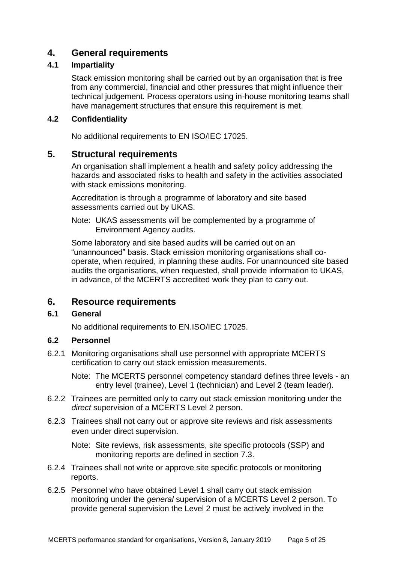# <span id="page-8-0"></span>**4. General requirements**

### <span id="page-8-1"></span>**4.1 Impartiality**

Stack emission monitoring shall be carried out by an organisation that is free from any commercial, financial and other pressures that might influence their technical judgement. Process operators using in-house monitoring teams shall have management structures that ensure this requirement is met.

### <span id="page-8-2"></span>**4.2 Confidentiality**

No additional requirements to EN ISO/IEC 17025.

# <span id="page-8-3"></span>**5. Structural requirements**

An organisation shall implement a health and safety policy addressing the hazards and associated risks to health and safety in the activities associated with stack emissions monitoring.

Accreditation is through a programme of laboratory and site based assessments carried out by UKAS.

Note: UKAS assessments will be complemented by a programme of Environment Agency audits.

Some laboratory and site based audits will be carried out on an "unannounced" basis. Stack emission monitoring organisations shall cooperate, when required, in planning these audits. For unannounced site based audits the organisations, when requested, shall provide information to UKAS, in advance, of the MCERTS accredited work they plan to carry out.

# <span id="page-8-4"></span>**6. Resource requirements**

# <span id="page-8-5"></span>**6.1 General**

No additional requirements to EN.ISO/IEC 17025.

# <span id="page-8-6"></span>**6.2 Personnel**

6.2.1 Monitoring organisations shall use personnel with appropriate MCERTS certification to carry out stack emission measurements.

Note: The MCERTS personnel competency standard defines three levels - an entry level (trainee), Level 1 (technician) and Level 2 (team leader).

- 6.2.2 Trainees are permitted only to carry out stack emission monitoring under the *direct* supervision of a MCERTS Level 2 person.
- 6.2.3 Trainees shall not carry out or approve site reviews and risk assessments even under direct supervision.

Note: Site reviews, risk assessments, site specific protocols (SSP) and monitoring reports are defined in section 7.3.

- 6.2.4 Trainees shall not write or approve site specific protocols or monitoring reports.
- 6.2.5 Personnel who have obtained Level 1 shall carry out stack emission monitoring under the *general* supervision of a MCERTS Level 2 person. To provide general supervision the Level 2 must be actively involved in the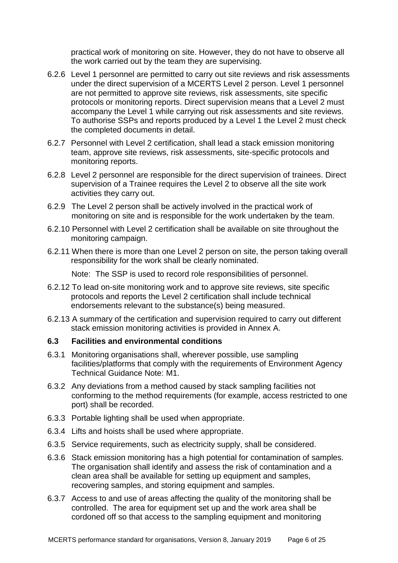practical work of monitoring on site. However, they do not have to observe all the work carried out by the team they are supervising.

- 6.2.6 Level 1 personnel are permitted to carry out site reviews and risk assessments under the direct supervision of a MCERTS Level 2 person. Level 1 personnel are not permitted to approve site reviews, risk assessments, site specific protocols or monitoring reports. Direct supervision means that a Level 2 must accompany the Level 1 while carrying out risk assessments and site reviews. To authorise SSPs and reports produced by a Level 1 the Level 2 must check the completed documents in detail.
- 6.2.7 Personnel with Level 2 certification, shall lead a stack emission monitoring team, approve site reviews, risk assessments, site-specific protocols and monitoring reports.
- 6.2.8 Level 2 personnel are responsible for the direct supervision of trainees. Direct supervision of a Trainee requires the Level 2 to observe all the site work activities they carry out.
- 6.2.9 The Level 2 person shall be actively involved in the practical work of monitoring on site and is responsible for the work undertaken by the team.
- 6.2.10 Personnel with Level 2 certification shall be available on site throughout the monitoring campaign.
- 6.2.11 When there is more than one Level 2 person on site, the person taking overall responsibility for the work shall be clearly nominated.

Note: The SSP is used to record role responsibilities of personnel.

- 6.2.12 To lead on-site monitoring work and to approve site reviews, site specific protocols and reports the Level 2 certification shall include technical endorsements relevant to the substance(s) being measured.
- 6.2.13 A summary of the certification and supervision required to carry out different stack emission monitoring activities is provided in Annex A.

#### <span id="page-9-0"></span>**6.3 Facilities and environmental conditions**

- 6.3.1 Monitoring organisations shall, wherever possible, use sampling facilities/platforms that comply with the requirements of Environment Agency Technical Guidance Note: M1.
- 6.3.2 Any deviations from a method caused by stack sampling facilities not conforming to the method requirements (for example, access restricted to one port) shall be recorded.
- 6.3.3 Portable lighting shall be used when appropriate.
- 6.3.4 Lifts and hoists shall be used where appropriate.
- 6.3.5 Service requirements, such as electricity supply, shall be considered.
- 6.3.6 Stack emission monitoring has a high potential for contamination of samples. The organisation shall identify and assess the risk of contamination and a clean area shall be available for setting up equipment and samples, recovering samples, and storing equipment and samples.
- 6.3.7 Access to and use of areas affecting the quality of the monitoring shall be controlled. The area for equipment set up and the work area shall be cordoned off so that access to the sampling equipment and monitoring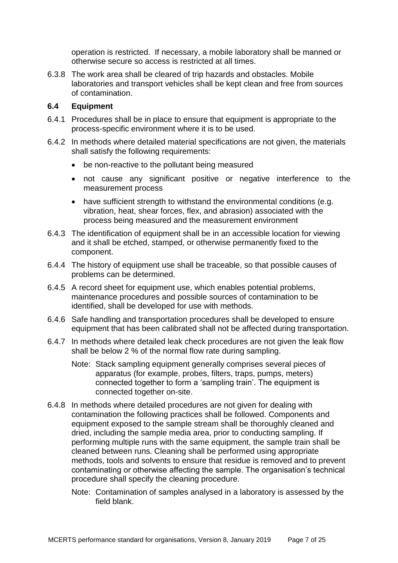operation is restricted. If necessary, a mobile laboratory shall be manned or otherwise secure so access is restricted at all times.

6.3.8 The work area shall be cleared of trip hazards and obstacles. Mobile laboratories and transport vehicles shall be kept clean and free from sources of contamination.

#### <span id="page-10-0"></span>**6.4 Equipment**

- 6.4.1 Procedures shall be in place to ensure that equipment is appropriate to the process-specific environment where it is to be used.
- 6.4.2 In methods where detailed material specifications are not given, the materials shall satisfy the following requirements:
	- be non-reactive to the pollutant being measured
	- not cause any significant positive or negative interference to the measurement process
	- have sufficient strength to withstand the environmental conditions (e.g. vibration, heat, shear forces, flex, and abrasion) associated with the process being measured and the measurement environment
- 6.4.3 The identification of equipment shall be in an accessible location for viewing and it shall be etched, stamped, or otherwise permanently fixed to the component.
- 6.4.4 The history of equipment use shall be traceable, so that possible causes of problems can be determined.
- 6.4.5 A record sheet for equipment use, which enables potential problems, maintenance procedures and possible sources of contamination to be identified, shall be developed for use with methods.
- 6.4.6 Safe handling and transportation procedures shall be developed to ensure equipment that has been calibrated shall not be affected during transportation.
- 6.4.7 In methods where detailed leak check procedures are not given the leak flow shall be below 2 % of the normal flow rate during sampling.
	- Note: Stack sampling equipment generally comprises several pieces of apparatus (for example, probes, filters, traps, pumps, meters) connected together to form a 'sampling train'. The equipment is connected together on-site.
- 6.4.8 In methods where detailed procedures are not given for dealing with contamination the following practices shall be followed. Components and equipment exposed to the sample stream shall be thoroughly cleaned and dried, including the sample media area, prior to conducting sampling. If performing multiple runs with the same equipment, the sample train shall be cleaned between runs. Cleaning shall be performed using appropriate methods, tools and solvents to ensure that residue is removed and to prevent contaminating or otherwise affecting the sample. The organisation's technical procedure shall specify the cleaning procedure.
	- Note: Contamination of samples analysed in a laboratory is assessed by the field blank.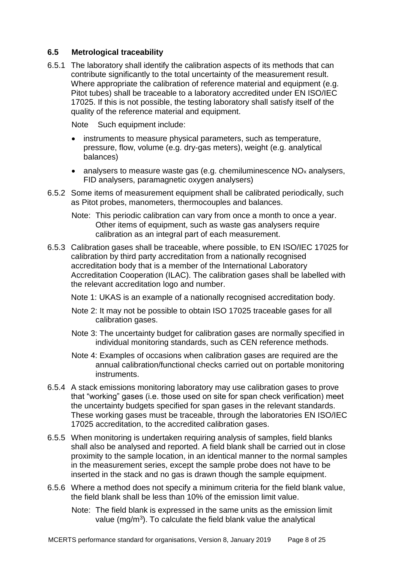### <span id="page-11-0"></span>**6.5 Metrological traceability**

6.5.1 The laboratory shall identify the calibration aspects of its methods that can contribute significantly to the total uncertainty of the measurement result. Where appropriate the calibration of reference material and equipment (e.g. Pitot tubes) shall be traceable to a laboratory accredited under EN ISO/IEC 17025. If this is not possible, the testing laboratory shall satisfy itself of the quality of the reference material and equipment.

Note Such equipment include:

- instruments to measure physical parameters, such as temperature, pressure, flow, volume (e.g. dry-gas meters), weight (e.g. analytical balances)
- analysers to measure waste gas (e.g. chemiluminescence  $NO<sub>x</sub>$  analysers, FID analysers, paramagnetic oxygen analysers)
- 6.5.2 Some items of measurement equipment shall be calibrated periodically, such as Pitot probes, manometers, thermocouples and balances.
	- Note: This periodic calibration can vary from once a month to once a year. Other items of equipment, such as waste gas analysers require calibration as an integral part of each measurement.
- 6.5.3 Calibration gases shall be traceable, where possible, to EN ISO/IEC 17025 for calibration by third party accreditation from a nationally recognised accreditation body that is a member of the International Laboratory Accreditation Cooperation (ILAC). The calibration gases shall be labelled with the relevant accreditation logo and number.
	- Note 1: UKAS is an example of a nationally recognised accreditation body.
	- Note 2: It may not be possible to obtain ISO 17025 traceable gases for all calibration gases.
	- Note 3: The uncertainty budget for calibration gases are normally specified in individual monitoring standards, such as CEN reference methods.
	- Note 4: Examples of occasions when calibration gases are required are the annual calibration/functional checks carried out on portable monitoring instruments.
- 6.5.4 A stack emissions monitoring laboratory may use calibration gases to prove that "working" gases (i.e. those used on site for span check verification) meet the uncertainty budgets specified for span gases in the relevant standards. These working gases must be traceable, through the laboratories EN ISO/IEC 17025 accreditation, to the accredited calibration gases.
- 6.5.5 When monitoring is undertaken requiring analysis of samples, field blanks shall also be analysed and reported. A field blank shall be carried out in close proximity to the sample location, in an identical manner to the normal samples in the measurement series, except the sample probe does not have to be inserted in the stack and no gas is drawn though the sample equipment.
- 6.5.6 Where a method does not specify a minimum criteria for the field blank value, the field blank shall be less than 10% of the emission limit value.

Note: The field blank is expressed in the same units as the emission limit value (mg/m<sup>3</sup>). To calculate the field blank value the analytical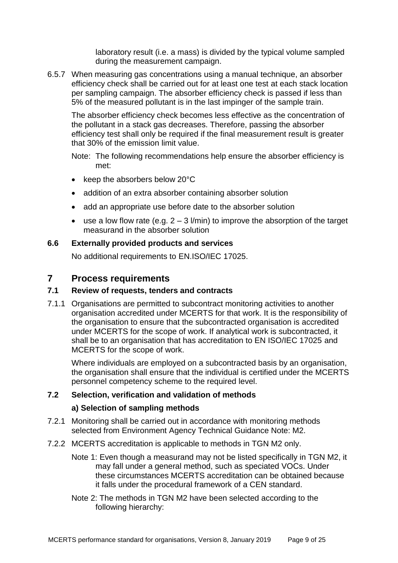laboratory result (i.e. a mass) is divided by the typical volume sampled during the measurement campaign.

6.5.7 When measuring gas concentrations using a manual technique, an absorber efficiency check shall be carried out for at least one test at each stack location per sampling campaign. The absorber efficiency check is passed if less than 5% of the measured pollutant is in the last impinger of the sample train.

The absorber efficiency check becomes less effective as the concentration of the pollutant in a stack gas decreases. Therefore, passing the absorber efficiency test shall only be required if the final measurement result is greater that 30% of the emission limit value.

Note: The following recommendations help ensure the absorber efficiency is met:

- $\bullet$  keep the absorbers below 20 $\degree$ C
- addition of an extra absorber containing absorber solution
- add an appropriate use before date to the absorber solution
- use a low flow rate (e.g.  $2 3$  l/min) to improve the absorption of the target measurand in the absorber solution

### <span id="page-12-0"></span>**6.6 Externally provided products and services**

No additional requirements to EN.ISO/IEC 17025.

# <span id="page-12-1"></span>**7 Process requirements**

#### <span id="page-12-2"></span>**7.1 Review of requests, tenders and contracts**

7.1.1 Organisations are permitted to subcontract monitoring activities to another organisation accredited under MCERTS for that work. It is the responsibility of the organisation to ensure that the subcontracted organisation is accredited under MCERTS for the scope of work. If analytical work is subcontracted, it shall be to an organisation that has accreditation to EN ISO/IEC 17025 and MCERTS for the scope of work.

Where individuals are employed on a subcontracted basis by an organisation, the organisation shall ensure that the individual is certified under the MCERTS personnel competency scheme to the required level.

# <span id="page-12-3"></span>**7.2 Selection, verification and validation of methods**

#### **a) Selection of sampling methods**

- 7.2.1 Monitoring shall be carried out in accordance with monitoring methods selected from Environment Agency Technical Guidance Note: M2.
- 7.2.2 MCERTS accreditation is applicable to methods in TGN M2 only.
	- Note 1: Even though a measurand may not be listed specifically in TGN M2, it may fall under a general method, such as speciated VOCs. Under these circumstances MCERTS accreditation can be obtained because it falls under the procedural framework of a CEN standard.
	- Note 2: The methods in TGN M2 have been selected according to the following hierarchy: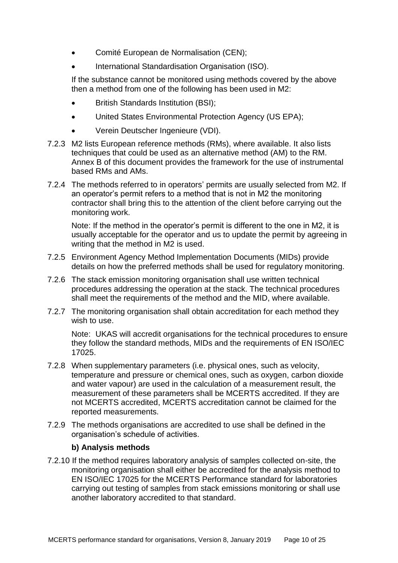- Comité European de Normalisation (CEN);
- International Standardisation Organisation (ISO).

If the substance cannot be monitored using methods covered by the above then a method from one of the following has been used in M2:

- British Standards Institution (BSI);
- United States Environmental Protection Agency (US EPA);
- Verein Deutscher Ingenieure (VDI).
- 7.2.3 M2 lists European reference methods (RMs), where available. It also lists techniques that could be used as an alternative method (AM) to the RM. Annex B of this document provides the framework for the use of instrumental based RMs and AMs.
- 7.2.4 The methods referred to in operators' permits are usually selected from M2. If an operator's permit refers to a method that is not in M2 the monitoring contractor shall bring this to the attention of the client before carrying out the monitoring work.

Note: If the method in the operator's permit is different to the one in M2, it is usually acceptable for the operator and us to update the permit by agreeing in writing that the method in M2 is used.

- 7.2.5 Environment Agency Method Implementation Documents (MIDs) provide details on how the preferred methods shall be used for regulatory monitoring.
- 7.2.6 The stack emission monitoring organisation shall use written technical procedures addressing the operation at the stack. The technical procedures shall meet the requirements of the method and the MID, where available.
- 7.2.7 The monitoring organisation shall obtain accreditation for each method they wish to use.

Note: UKAS will accredit organisations for the technical procedures to ensure they follow the standard methods, MIDs and the requirements of EN ISO/IEC 17025.

- 7.2.8 When supplementary parameters (i.e. physical ones, such as velocity, temperature and pressure or chemical ones, such as oxygen, carbon dioxide and water vapour) are used in the calculation of a measurement result, the measurement of these parameters shall be MCERTS accredited. If they are not MCERTS accredited, MCERTS accreditation cannot be claimed for the reported measurements.
- 7.2.9 The methods organisations are accredited to use shall be defined in the organisation's schedule of activities.

#### **b) Analysis methods**

7.2.10 If the method requires laboratory analysis of samples collected on-site, the monitoring organisation shall either be accredited for the analysis method to EN ISO/IEC 17025 for the MCERTS Performance standard for laboratories carrying out testing of samples from stack emissions monitoring or shall use another laboratory accredited to that standard.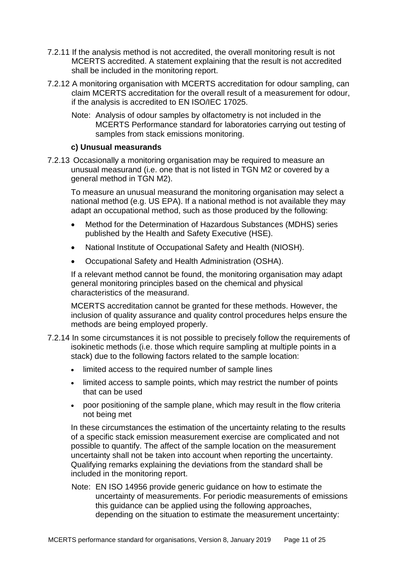- 7.2.11 If the analysis method is not accredited, the overall monitoring result is not MCERTS accredited. A statement explaining that the result is not accredited shall be included in the monitoring report.
- 7.2.12 A monitoring organisation with MCERTS accreditation for odour sampling, can claim MCERTS accreditation for the overall result of a measurement for odour, if the analysis is accredited to EN ISO/IEC 17025.
	- Note: Analysis of odour samples by olfactometry is not included in the MCERTS Performance standard for laboratories carrying out testing of samples from stack emissions monitoring.

#### **c) Unusual measurands**

7.2.13 Occasionally a monitoring organisation may be required to measure an unusual measurand (i.e. one that is not listed in TGN M2 or covered by a general method in TGN M2).

To measure an unusual measurand the monitoring organisation may select a national method (e.g. US EPA). If a national method is not available they may adapt an occupational method, such as those produced by the following:

- Method for the Determination of Hazardous Substances (MDHS) series published by the Health and Safety Executive (HSE).
- National Institute of Occupational Safety and Health (NIOSH).
- Occupational Safety and Health Administration (OSHA).

If a relevant method cannot be found, the monitoring organisation may adapt general monitoring principles based on the chemical and physical characteristics of the measurand.

MCERTS accreditation cannot be granted for these methods. However, the inclusion of quality assurance and quality control procedures helps ensure the methods are being employed properly.

- 7.2.14 In some circumstances it is not possible to precisely follow the requirements of isokinetic methods (i.e. those which require sampling at multiple points in a stack) due to the following factors related to the sample location:
	- limited access to the required number of sample lines
	- limited access to sample points, which may restrict the number of points that can be used
	- poor positioning of the sample plane, which may result in the flow criteria not being met

In these circumstances the estimation of the uncertainty relating to the results of a specific stack emission measurement exercise are complicated and not possible to quantify. The affect of the sample location on the measurement uncertainty shall not be taken into account when reporting the uncertainty. Qualifying remarks explaining the deviations from the standard shall be included in the monitoring report.

Note: EN ISO 14956 provide generic guidance on how to estimate the uncertainty of measurements. For periodic measurements of emissions this guidance can be applied using the following approaches, depending on the situation to estimate the measurement uncertainty: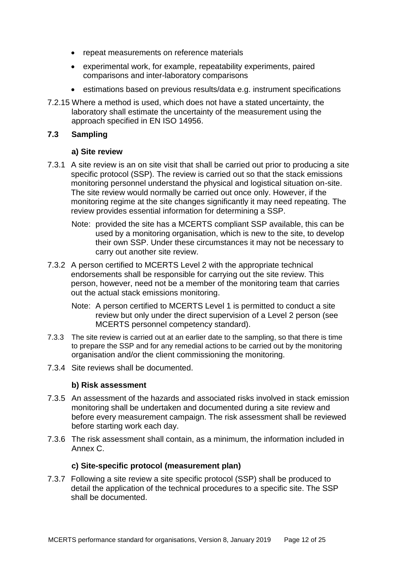- repeat measurements on reference materials
- experimental work, for example, repeatability experiments, paired comparisons and inter-laboratory comparisons
- estimations based on previous results/data e.g. instrument specifications
- 7.2.15 Where a method is used, which does not have a stated uncertainty, the laboratory shall estimate the uncertainty of the measurement using the approach specified in EN ISO 14956.

#### <span id="page-15-0"></span>**7.3 Sampling**

#### **a) Site review**

- 7.3.1 A site review is an on site visit that shall be carried out prior to producing a site specific protocol (SSP). The review is carried out so that the stack emissions monitoring personnel understand the physical and logistical situation on-site. The site review would normally be carried out once only. However, if the monitoring regime at the site changes significantly it may need repeating. The review provides essential information for determining a SSP.
	- Note: provided the site has a MCERTS compliant SSP available, this can be used by a monitoring organisation, which is new to the site, to develop their own SSP. Under these circumstances it may not be necessary to carry out another site review.
- 7.3.2 A person certified to MCERTS Level 2 with the appropriate technical endorsements shall be responsible for carrying out the site review. This person, however, need not be a member of the monitoring team that carries out the actual stack emissions monitoring.
	- Note: A person certified to MCERTS Level 1 is permitted to conduct a site review but only under the direct supervision of a Level 2 person (see MCERTS personnel competency standard).
- 7.3.3 The site review is carried out at an earlier date to the sampling, so that there is time to prepare the SSP and for any remedial actions to be carried out by the monitoring organisation and/or the client commissioning the monitoring.
- 7.3.4 Site reviews shall be documented.

#### **b) Risk assessment**

- 7.3.5 An assessment of the hazards and associated risks involved in stack emission monitoring shall be undertaken and documented during a site review and before every measurement campaign. The risk assessment shall be reviewed before starting work each day.
- 7.3.6 The risk assessment shall contain, as a minimum, the information included in Annex C.

#### **c) Site-specific protocol (measurement plan)**

7.3.7 Following a site review a site specific protocol (SSP) shall be produced to detail the application of the technical procedures to a specific site. The SSP shall be documented.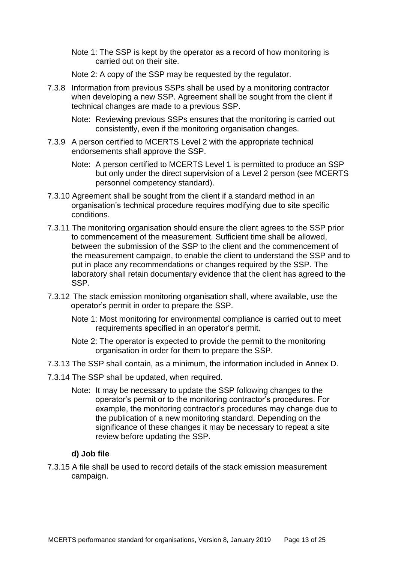Note 1: The SSP is kept by the operator as a record of how monitoring is carried out on their site.

Note 2: A copy of the SSP may be requested by the regulator.

- 7.3.8 Information from previous SSPs shall be used by a monitoring contractor when developing a new SSP. Agreement shall be sought from the client if technical changes are made to a previous SSP.
	- Note: Reviewing previous SSPs ensures that the monitoring is carried out consistently, even if the monitoring organisation changes.
- 7.3.9 A person certified to MCERTS Level 2 with the appropriate technical endorsements shall approve the SSP.
	- Note: A person certified to MCERTS Level 1 is permitted to produce an SSP but only under the direct supervision of a Level 2 person (see MCERTS personnel competency standard).
- 7.3.10 Agreement shall be sought from the client if a standard method in an organisation's technical procedure requires modifying due to site specific conditions.
- 7.3.11 The monitoring organisation should ensure the client agrees to the SSP prior to commencement of the measurement. Sufficient time shall be allowed, between the submission of the SSP to the client and the commencement of the measurement campaign, to enable the client to understand the SSP and to put in place any recommendations or changes required by the SSP. The laboratory shall retain documentary evidence that the client has agreed to the SSP.
- 7.3.12 The stack emission monitoring organisation shall, where available, use the operator's permit in order to prepare the SSP.
	- Note 1: Most monitoring for environmental compliance is carried out to meet requirements specified in an operator's permit.
	- Note 2: The operator is expected to provide the permit to the monitoring organisation in order for them to prepare the SSP.
- 7.3.13 The SSP shall contain, as a minimum, the information included in Annex D.
- 7.3.14 The SSP shall be updated, when required.
	- Note: It may be necessary to update the SSP following changes to the operator's permit or to the monitoring contractor's procedures. For example, the monitoring contractor's procedures may change due to the publication of a new monitoring standard. Depending on the significance of these changes it may be necessary to repeat a site review before updating the SSP.

#### **d) Job file**

7.3.15 A file shall be used to record details of the stack emission measurement campaign.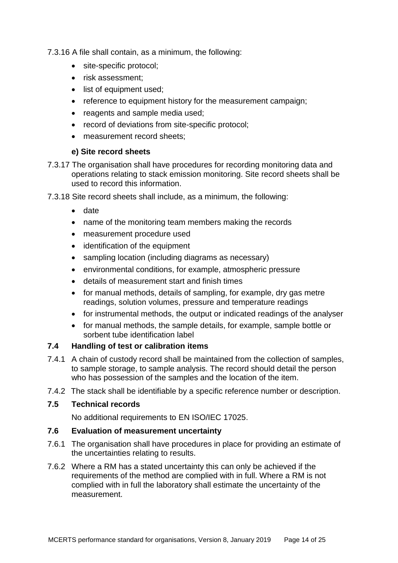7.3.16 A file shall contain, as a minimum, the following:

- site-specific protocol;
- risk assessment:
- list of equipment used;
- reference to equipment history for the measurement campaign:
- reagents and sample media used;
- record of deviations from site-specific protocol;
- measurement record sheets:

# **e) Site record sheets**

- 7.3.17 The organisation shall have procedures for recording monitoring data and operations relating to stack emission monitoring. Site record sheets shall be used to record this information.
- 7.3.18 Site record sheets shall include, as a minimum, the following:
	- date
	- name of the monitoring team members making the records
	- measurement procedure used
	- identification of the equipment
	- sampling location (including diagrams as necessary)
	- environmental conditions, for example, atmospheric pressure
	- details of measurement start and finish times
	- for manual methods, details of sampling, for example, dry gas metre readings, solution volumes, pressure and temperature readings
	- for instrumental methods, the output or indicated readings of the analyser
	- for manual methods, the sample details, for example, sample bottle or sorbent tube identification label

# <span id="page-17-0"></span>**7.4 Handling of test or calibration items**

- 7.4.1 A chain of custody record shall be maintained from the collection of samples, to sample storage, to sample analysis. The record should detail the person who has possession of the samples and the location of the item.
- 7.4.2 The stack shall be identifiable by a specific reference number or description.

# <span id="page-17-1"></span>**7.5 Technical records**

No additional requirements to EN ISO/IEC 17025.

# <span id="page-17-2"></span>**7.6 Evaluation of measurement uncertainty**

- 7.6.1 The organisation shall have procedures in place for providing an estimate of the uncertainties relating to results.
- 7.6.2 Where a RM has a stated uncertainty this can only be achieved if the requirements of the method are complied with in full. Where a RM is not complied with in full the laboratory shall estimate the uncertainty of the measurement.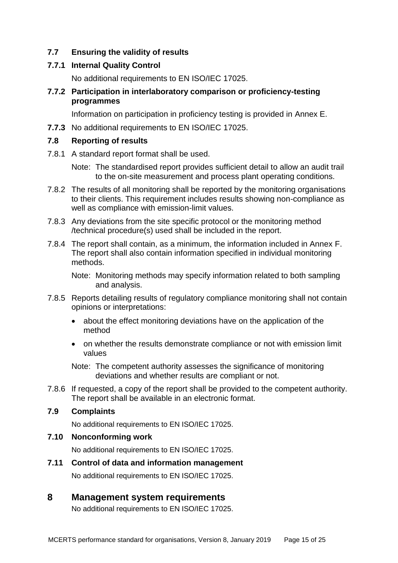# <span id="page-18-0"></span>**7.7 Ensuring the validity of results**

#### **7.7.1 Internal Quality Control**

No additional requirements to EN ISO/IEC 17025.

#### **7.7.2 Participation in interlaboratory comparison or proficiency-testing programmes**

Information on participation in proficiency testing is provided in Annex E.

**7.7.3** No additional requirements to EN ISO/IEC 17025.

#### <span id="page-18-1"></span>**7.8 Reporting of results**

7.8.1 A standard report format shall be used.

Note: The standardised report provides sufficient detail to allow an audit trail to the on-site measurement and process plant operating conditions.

- 7.8.2 The results of all monitoring shall be reported by the monitoring organisations to their clients. This requirement includes results showing non-compliance as well as compliance with emission-limit values.
- 7.8.3 Any deviations from the site specific protocol or the monitoring method /technical procedure(s) used shall be included in the report.
- 7.8.4 The report shall contain, as a minimum, the information included in Annex F. The report shall also contain information specified in individual monitoring methods.

Note: Monitoring methods may specify information related to both sampling and analysis.

- 7.8.5 Reports detailing results of regulatory compliance monitoring shall not contain opinions or interpretations:
	- about the effect monitoring deviations have on the application of the method
	- on whether the results demonstrate compliance or not with emission limit values

Note: The competent authority assesses the significance of monitoring deviations and whether results are compliant or not.

7.8.6 If requested, a copy of the report shall be provided to the competent authority. The report shall be available in an electronic format.

#### <span id="page-18-2"></span>**7.9 Complaints**

No additional requirements to EN ISO/IEC 17025.

#### <span id="page-18-3"></span>**7.10 Nonconforming work**

No additional requirements to EN ISO/IEC 17025.

# <span id="page-18-4"></span>**7.11 Control of data and information management**  No additional requirements to EN ISO/IEC 17025.

# <span id="page-18-5"></span>**8 Management system requirements**

No additional requirements to EN ISO/IEC 17025.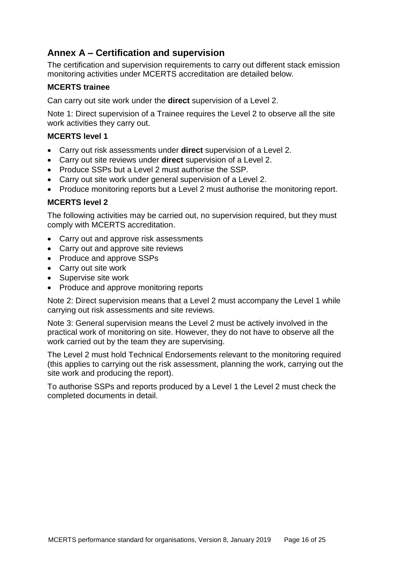# <span id="page-19-0"></span>**Annex A – Certification and supervision**

The certification and supervision requirements to carry out different stack emission monitoring activities under MCERTS accreditation are detailed below.

# **MCERTS trainee**

Can carry out site work under the **direct** supervision of a Level 2.

Note 1: Direct supervision of a Trainee requires the Level 2 to observe all the site work activities they carry out.

# **MCERTS level 1**

- Carry out risk assessments under **direct** supervision of a Level 2.
- Carry out site reviews under **direct** supervision of a Level 2.
- Produce SSPs but a Level 2 must authorise the SSP.
- Carry out site work under general supervision of a Level 2.
- Produce monitoring reports but a Level 2 must authorise the monitoring report.

# **MCERTS level 2**

The following activities may be carried out, no supervision required, but they must comply with MCERTS accreditation.

- Carry out and approve risk assessments
- Carry out and approve site reviews
- Produce and approve SSPs
- Carry out site work
- Supervise site work
- Produce and approve monitoring reports

Note 2: Direct supervision means that a Level 2 must accompany the Level 1 while carrying out risk assessments and site reviews.

Note 3: General supervision means the Level 2 must be actively involved in the practical work of monitoring on site. However, they do not have to observe all the work carried out by the team they are supervising.

The Level 2 must hold Technical Endorsements relevant to the monitoring required (this applies to carrying out the risk assessment, planning the work, carrying out the site work and producing the report).

To authorise SSPs and reports produced by a Level 1 the Level 2 must check the completed documents in detail.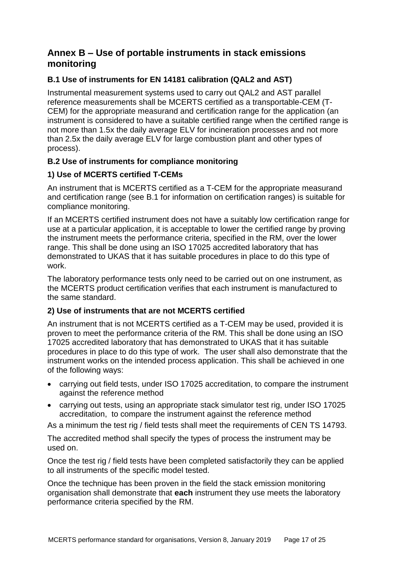# <span id="page-20-0"></span>**Annex B – Use of portable instruments in stack emissions monitoring**

# **B.1 Use of instruments for EN 14181 calibration (QAL2 and AST)**

Instrumental measurement systems used to carry out QAL2 and AST parallel reference measurements shall be MCERTS certified as a transportable-CEM (T-CEM) for the appropriate measurand and certification range for the application (an instrument is considered to have a suitable certified range when the certified range is not more than 1.5x the daily average ELV for incineration processes and not more than 2.5x the daily average ELV for large combustion plant and other types of process).

# **B.2 Use of instruments for compliance monitoring**

# **1) Use of MCERTS certified T-CEMs**

An instrument that is MCERTS certified as a T-CEM for the appropriate measurand and certification range (see B.1 for information on certification ranges) is suitable for compliance monitoring.

If an MCERTS certified instrument does not have a suitably low certification range for use at a particular application, it is acceptable to lower the certified range by proving the instrument meets the performance criteria, specified in the RM, over the lower range. This shall be done using an ISO 17025 accredited laboratory that has demonstrated to UKAS that it has suitable procedures in place to do this type of work.

The laboratory performance tests only need to be carried out on one instrument, as the MCERTS product certification verifies that each instrument is manufactured to the same standard.

# **2) Use of instruments that are not MCERTS certified**

An instrument that is not MCERTS certified as a T-CEM may be used, provided it is proven to meet the performance criteria of the RM. This shall be done using an ISO 17025 accredited laboratory that has demonstrated to UKAS that it has suitable procedures in place to do this type of work. The user shall also demonstrate that the instrument works on the intended process application. This shall be achieved in one of the following ways:

- carrying out field tests, under ISO 17025 accreditation, to compare the instrument against the reference method
- carrying out tests, using an appropriate stack simulator test rig, under ISO 17025 accreditation, to compare the instrument against the reference method

As a minimum the test rig / field tests shall meet the requirements of CEN TS 14793.

The accredited method shall specify the types of process the instrument may be used on.

Once the test rig / field tests have been completed satisfactorily they can be applied to all instruments of the specific model tested.

Once the technique has been proven in the field the stack emission monitoring organisation shall demonstrate that **each** instrument they use meets the laboratory performance criteria specified by the RM.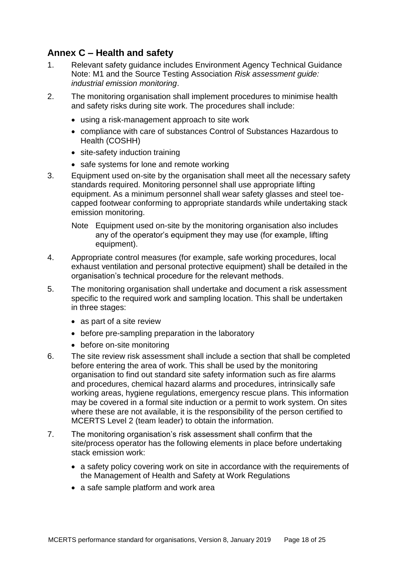# <span id="page-21-0"></span>**Annex C – Health and safety**

- 1. Relevant safety guidance includes Environment Agency Technical Guidance Note: M1 and the Source Testing Association *Risk assessment guide: industrial emission monitoring*.
- 2. The monitoring organisation shall implement procedures to minimise health and safety risks during site work. The procedures shall include:
	- using a risk-management approach to site work
	- compliance with care of substances Control of Substances Hazardous to Health (COSHH)
	- site-safety induction training
	- safe systems for lone and remote working
- 3. Equipment used on-site by the organisation shall meet all the necessary safety standards required. Monitoring personnel shall use appropriate lifting equipment. As a minimum personnel shall wear safety glasses and steel toecapped footwear conforming to appropriate standards while undertaking stack emission monitoring.
	- Note Equipment used on-site by the monitoring organisation also includes any of the operator's equipment they may use (for example, lifting equipment).
- 4. Appropriate control measures (for example, safe working procedures, local exhaust ventilation and personal protective equipment) shall be detailed in the organisation's technical procedure for the relevant methods.
- 5. The monitoring organisation shall undertake and document a risk assessment specific to the required work and sampling location. This shall be undertaken in three stages:
	- as part of a site review
	- before pre-sampling preparation in the laboratory
	- before on-site monitoring
- 6. The site review risk assessment shall include a section that shall be completed before entering the area of work. This shall be used by the monitoring organisation to find out standard site safety information such as fire alarms and procedures, chemical hazard alarms and procedures, intrinsically safe working areas, hygiene regulations, emergency rescue plans. This information may be covered in a formal site induction or a permit to work system. On sites where these are not available, it is the responsibility of the person certified to MCERTS Level 2 (team leader) to obtain the information.
- 7. The monitoring organisation's risk assessment shall confirm that the site/process operator has the following elements in place before undertaking stack emission work:
	- a safety policy covering work on site in accordance with the requirements of the Management of Health and Safety at Work Regulations
	- a safe sample platform and work area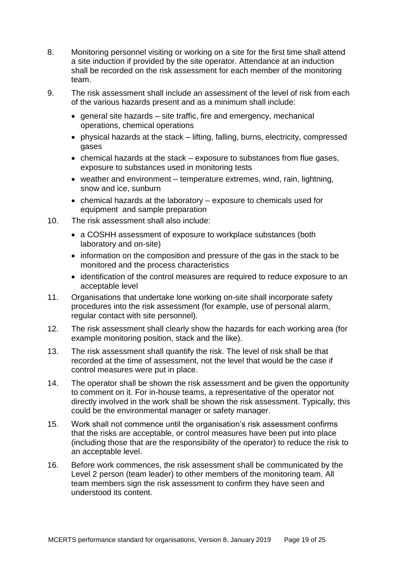- 8. Monitoring personnel visiting or working on a site for the first time shall attend a site induction if provided by the site operator. Attendance at an induction shall be recorded on the risk assessment for each member of the monitoring team.
- 9. The risk assessment shall include an assessment of the level of risk from each of the various hazards present and as a minimum shall include:
	- $\bullet$  general site hazards site traffic, fire and emergency, mechanical operations, chemical operations
	- physical hazards at the stack lifting, falling, burns, electricity, compressed gases
	- chemical hazards at the stack exposure to substances from flue gases, exposure to substances used in monitoring tests
	- weather and environment temperature extremes, wind, rain, lightning, snow and ice, sunburn
	- chemical hazards at the laboratory exposure to chemicals used for equipment and sample preparation
- 10. The risk assessment shall also include:
	- a COSHH assessment of exposure to workplace substances (both laboratory and on-site)
	- information on the composition and pressure of the gas in the stack to be monitored and the process characteristics
	- identification of the control measures are required to reduce exposure to an acceptable level
- 11. Organisations that undertake lone working on-site shall incorporate safety procedures into the risk assessment (for example, use of personal alarm, regular contact with site personnel).
- 12. The risk assessment shall clearly show the hazards for each working area (for example monitoring position, stack and the like).
- 13. The risk assessment shall quantify the risk. The level of risk shall be that recorded at the time of assessment, not the level that would be the case if control measures were put in place.
- 14. The operator shall be shown the risk assessment and be given the opportunity to comment on it. For in-house teams, a representative of the operator not directly involved in the work shall be shown the risk assessment. Typically, this could be the environmental manager or safety manager.
- 15. Work shall not commence until the organisation's risk assessment confirms that the risks are acceptable, or control measures have been put into place (including those that are the responsibility of the operator) to reduce the risk to an acceptable level.
- 16. Before work commences, the risk assessment shall be communicated by the Level 2 person (team leader) to other members of the monitoring team. All team members sign the risk assessment to confirm they have seen and understood its content.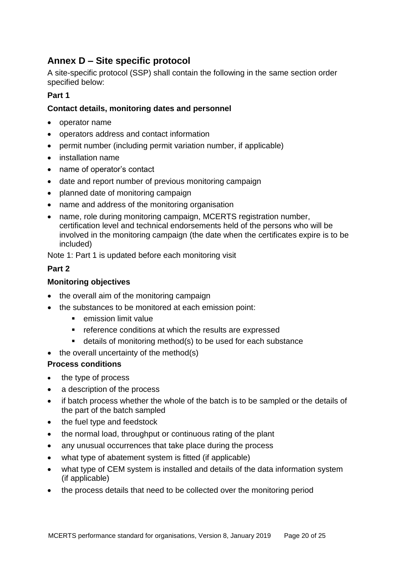# <span id="page-23-0"></span>**Annex D – Site specific protocol**

A site-specific protocol (SSP) shall contain the following in the same section order specified below:

### **Part 1**

### **Contact details, monitoring dates and personnel**

- operator name
- operators address and contact information
- permit number (including permit variation number, if applicable)
- installation name
- name of operator's contact
- date and report number of previous monitoring campaign
- planned date of monitoring campaign
- name and address of the monitoring organisation
- name, role during monitoring campaign, MCERTS registration number, certification level and technical endorsements held of the persons who will be involved in the monitoring campaign (the date when the certificates expire is to be included)

Note 1: Part 1 is updated before each monitoring visit

# **Part 2**

#### **Monitoring objectives**

- the overall aim of the monitoring campaign
- the substances to be monitored at each emission point:
	- **EXEC** emission limit value
	- **F** reference conditions at which the results are expressed
	- details of monitoring method(s) to be used for each substance
- $\bullet$  the overall uncertainty of the method(s)

#### **Process conditions**

- the type of process
- a description of the process
- if batch process whether the whole of the batch is to be sampled or the details of the part of the batch sampled
- the fuel type and feedstock
- the normal load, throughput or continuous rating of the plant
- any unusual occurrences that take place during the process
- what type of abatement system is fitted (if applicable)
- what type of CEM system is installed and details of the data information system (if applicable)
- the process details that need to be collected over the monitoring period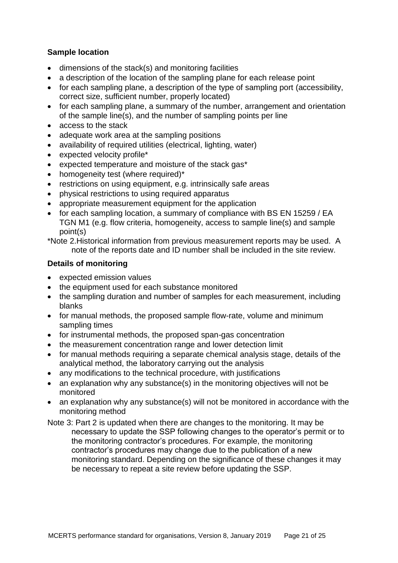### **Sample location**

- dimensions of the stack(s) and monitoring facilities
- a description of the location of the sampling plane for each release point
- for each sampling plane, a description of the type of sampling port (accessibility, correct size, sufficient number, properly located)
- for each sampling plane, a summary of the number, arrangement and orientation of the sample line(s), and the number of sampling points per line
- access to the stack
- adequate work area at the sampling positions
- availability of required utilities (electrical, lighting, water)
- expected velocity profile\*
- expected temperature and moisture of the stack gas\*
- homogeneity test (where required)\*
- restrictions on using equipment, e.g. intrinsically safe areas
- physical restrictions to using required apparatus
- appropriate measurement equipment for the application
- for each sampling location, a summary of compliance with BS EN 15259 / EA TGN M1 (e.g. flow criteria, homogeneity, access to sample line(s) and sample point(s)

\*Note 2.Historical information from previous measurement reports may be used. A note of the reports date and ID number shall be included in the site review.

### **Details of monitoring**

- expected emission values
- the equipment used for each substance monitored
- the sampling duration and number of samples for each measurement, including blanks
- for manual methods, the proposed sample flow-rate, volume and minimum sampling times
- for instrumental methods, the proposed span-gas concentration
- the measurement concentration range and lower detection limit
- for manual methods requiring a separate chemical analysis stage, details of the analytical method, the laboratory carrying out the analysis
- any modifications to the technical procedure, with justifications
- an explanation why any substance(s) in the monitoring objectives will not be monitored
- an explanation why any substance(s) will not be monitored in accordance with the monitoring method
- Note 3: Part 2 is updated when there are changes to the monitoring. It may be necessary to update the SSP following changes to the operator's permit or to the monitoring contractor's procedures. For example, the monitoring contractor's procedures may change due to the publication of a new monitoring standard. Depending on the significance of these changes it may be necessary to repeat a site review before updating the SSP.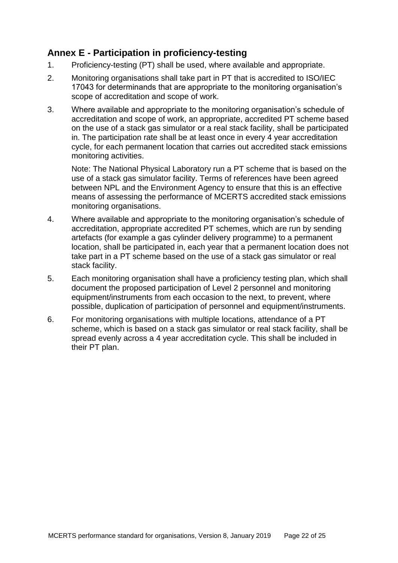# <span id="page-25-0"></span>**Annex E - Participation in proficiency-testing**

- 1. Proficiency-testing (PT) shall be used, where available and appropriate.
- 2. Monitoring organisations shall take part in PT that is accredited to ISO/IEC 17043 for determinands that are appropriate to the monitoring organisation's scope of accreditation and scope of work.
- 3. Where available and appropriate to the monitoring organisation's schedule of accreditation and scope of work, an appropriate, accredited PT scheme based on the use of a stack gas simulator or a real stack facility, shall be participated in. The participation rate shall be at least once in every 4 year accreditation cycle, for each permanent location that carries out accredited stack emissions monitoring activities.

Note: The National Physical Laboratory run a PT scheme that is based on the use of a stack gas simulator facility. Terms of references have been agreed between NPL and the Environment Agency to ensure that this is an effective means of assessing the performance of MCERTS accredited stack emissions monitoring organisations.

- 4. Where available and appropriate to the monitoring organisation's schedule of accreditation, appropriate accredited PT schemes, which are run by sending artefacts (for example a gas cylinder delivery programme) to a permanent location, shall be participated in, each year that a permanent location does not take part in a PT scheme based on the use of a stack gas simulator or real stack facility.
- 5. Each monitoring organisation shall have a proficiency testing plan, which shall document the proposed participation of Level 2 personnel and monitoring equipment/instruments from each occasion to the next, to prevent, where possible, duplication of participation of personnel and equipment/instruments.
- 6. For monitoring organisations with multiple locations, attendance of a PT scheme, which is based on a stack gas simulator or real stack facility, shall be spread evenly across a 4 year accreditation cycle. This shall be included in their PT plan.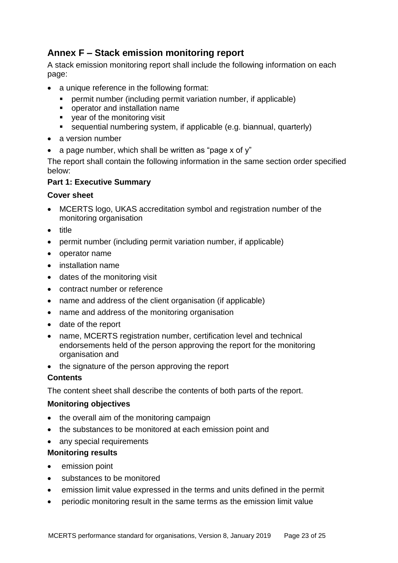# <span id="page-26-0"></span>**Annex F – Stack emission monitoring report**

A stack emission monitoring report shall include the following information on each page:

- a unique reference in the following format:
	- permit number (including permit variation number, if applicable)
	- operator and installation name
	- vear of the monitoring visit
	- sequential numbering system, if applicable (e.g. biannual, quarterly)
- a version number
- a page number, which shall be written as "page x of  $v$ "

The report shall contain the following information in the same section order specified below:

# **Part 1: Executive Summary**

# **Cover sheet**

- MCERTS logo, UKAS accreditation symbol and registration number of the monitoring organisation
- title
- permit number (including permit variation number, if applicable)
- operator name
- installation name
- dates of the monitoring visit
- contract number or reference
- name and address of the client organisation (if applicable)
- name and address of the monitoring organisation
- date of the report
- name, MCERTS registration number, certification level and technical endorsements held of the person approving the report for the monitoring organisation and
- the signature of the person approving the report

# **Contents**

The content sheet shall describe the contents of both parts of the report.

# **Monitoring objectives**

- the overall aim of the monitoring campaign
- the substances to be monitored at each emission point and
- any special requirements

# **Monitoring results**

- emission point
- substances to be monitored
- emission limit value expressed in the terms and units defined in the permit
- periodic monitoring result in the same terms as the emission limit value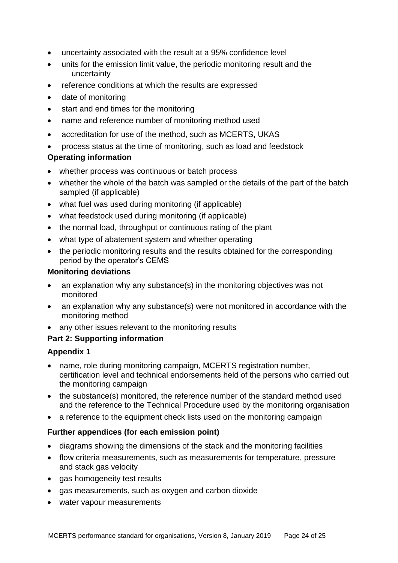- uncertainty associated with the result at a 95% confidence level
- units for the emission limit value, the periodic monitoring result and the uncertainty
- reference conditions at which the results are expressed
- date of monitoring
- start and end times for the monitoring
- name and reference number of monitoring method used
- accreditation for use of the method, such as MCERTS, UKAS
- process status at the time of monitoring, such as load and feedstock

### **Operating information**

- whether process was continuous or batch process
- whether the whole of the batch was sampled or the details of the part of the batch sampled (if applicable)
- what fuel was used during monitoring (if applicable)
- what feedstock used during monitoring (if applicable)
- the normal load, throughput or continuous rating of the plant
- what type of abatement system and whether operating
- the periodic monitoring results and the results obtained for the corresponding period by the operator's CEMS

### **Monitoring deviations**

- an explanation why any substance(s) in the monitoring objectives was not monitored
- an explanation why any substance(s) were not monitored in accordance with the monitoring method
- any other issues relevant to the monitoring results

# **Part 2: Supporting information**

# **Appendix 1**

- name, role during monitoring campaign, MCERTS registration number, certification level and technical endorsements held of the persons who carried out the monitoring campaign
- the substance(s) monitored, the reference number of the standard method used and the reference to the Technical Procedure used by the monitoring organisation
- a reference to the equipment check lists used on the monitoring campaign

# **Further appendices (for each emission point)**

- diagrams showing the dimensions of the stack and the monitoring facilities
- flow criteria measurements, such as measurements for temperature, pressure and stack gas velocity
- gas homogeneity test results
- gas measurements, such as oxygen and carbon dioxide
- water vapour measurements